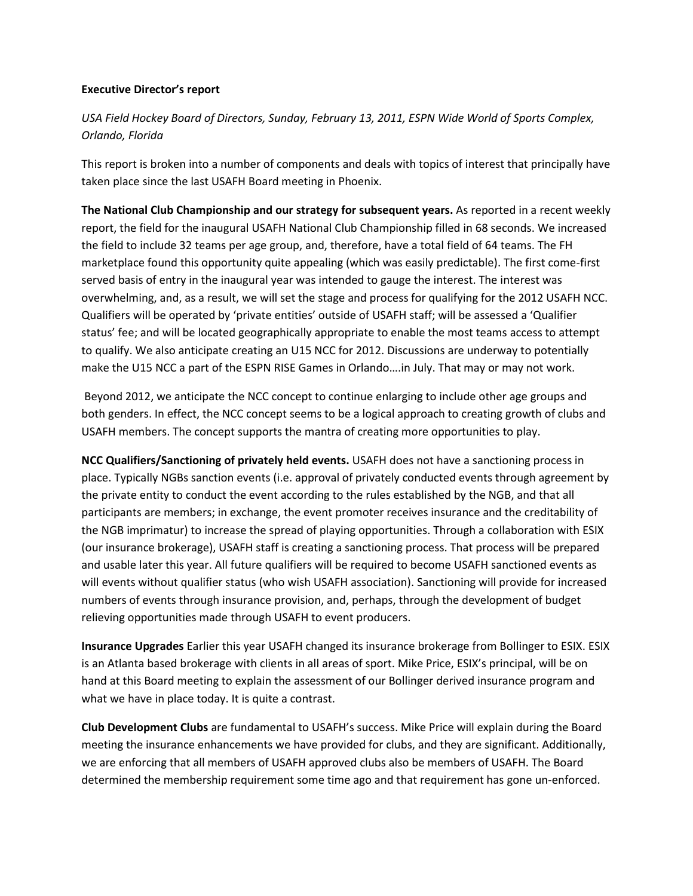### **Executive Director's report**

# *USA Field Hockey Board of Directors, Sunday, February 13, 2011, ESPN Wide World of Sports Complex, Orlando, Florida*

This report is broken into a number of components and deals with topics of interest that principally have taken place since the last USAFH Board meeting in Phoenix.

**The National Club Championship and our strategy for subsequent years.** As reported in a recent weekly report, the field for the inaugural USAFH National Club Championship filled in 68 seconds. We increased the field to include 32 teams per age group, and, therefore, have a total field of 64 teams. The FH marketplace found this opportunity quite appealing (which was easily predictable). The first come-first served basis of entry in the inaugural year was intended to gauge the interest. The interest was overwhelming, and, as a result, we will set the stage and process for qualifying for the 2012 USAFH NCC. Qualifiers will be operated by 'private entities' outside of USAFH staff; will be assessed a 'Qualifier status' fee; and will be located geographically appropriate to enable the most teams access to attempt to qualify. We also anticipate creating an U15 NCC for 2012. Discussions are underway to potentially make the U15 NCC a part of the ESPN RISE Games in Orlando….in July. That may or may not work.

Beyond 2012, we anticipate the NCC concept to continue enlarging to include other age groups and both genders. In effect, the NCC concept seems to be a logical approach to creating growth of clubs and USAFH members. The concept supports the mantra of creating more opportunities to play.

**NCC Qualifiers/Sanctioning of privately held events.** USAFH does not have a sanctioning process in place. Typically NGBs sanction events (i.e. approval of privately conducted events through agreement by the private entity to conduct the event according to the rules established by the NGB, and that all participants are members; in exchange, the event promoter receives insurance and the creditability of the NGB imprimatur) to increase the spread of playing opportunities. Through a collaboration with ESIX (our insurance brokerage), USAFH staff is creating a sanctioning process. That process will be prepared and usable later this year. All future qualifiers will be required to become USAFH sanctioned events as will events without qualifier status (who wish USAFH association). Sanctioning will provide for increased numbers of events through insurance provision, and, perhaps, through the development of budget relieving opportunities made through USAFH to event producers.

**Insurance Upgrades** Earlier this year USAFH changed its insurance brokerage from Bollinger to ESIX. ESIX is an Atlanta based brokerage with clients in all areas of sport. Mike Price, ESIX's principal, will be on hand at this Board meeting to explain the assessment of our Bollinger derived insurance program and what we have in place today. It is quite a contrast.

**Club Development Clubs** are fundamental to USAFH's success. Mike Price will explain during the Board meeting the insurance enhancements we have provided for clubs, and they are significant. Additionally, we are enforcing that all members of USAFH approved clubs also be members of USAFH. The Board determined the membership requirement some time ago and that requirement has gone un-enforced.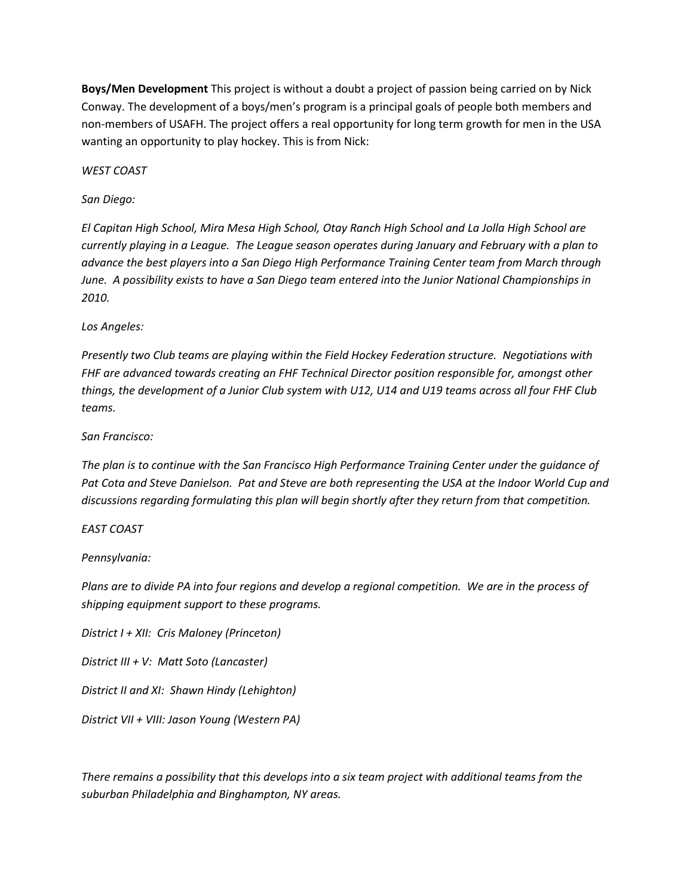**Boys/Men Development** This project is without a doubt a project of passion being carried on by Nick Conway. The development of a boys/men's program is a principal goals of people both members and non-members of USAFH. The project offers a real opportunity for long term growth for men in the USA wanting an opportunity to play hockey. This is from Nick:

*WEST COAST*

# *San Diego:*

*El Capitan High School, Mira Mesa High School, Otay Ranch High School and La Jolla High School are currently playing in a League. The League season operates during January and February with a plan to advance the best players into a San Diego High Performance Training Center team from March through June. A possibility exists to have a San Diego team entered into the Junior National Championships in 2010.*

*Los Angeles:*

*Presently two Club teams are playing within the Field Hockey Federation structure. Negotiations with FHF are advanced towards creating an FHF Technical Director position responsible for, amongst other things, the development of a Junior Club system with U12, U14 and U19 teams across all four FHF Club teams.*

# *San Francisco:*

*The plan is to continue with the San Francisco High Performance Training Center under the guidance of Pat Cota and Steve Danielson. Pat and Steve are both representing the USA at the Indoor World Cup and discussions regarding formulating this plan will begin shortly after they return from that competition.*

## *EAST COAST*

## *Pennsylvania:*

*Plans are to divide PA into four regions and develop a regional competition. We are in the process of shipping equipment support to these programs.*

*District I + XII: Cris Maloney (Princeton)*

*District III + V: Matt Soto (Lancaster)*

*District II and XI: Shawn Hindy (Lehighton)*

*District VII + VIII: Jason Young (Western PA)*

*There remains a possibility that this develops into a six team project with additional teams from the suburban Philadelphia and Binghampton, NY areas.*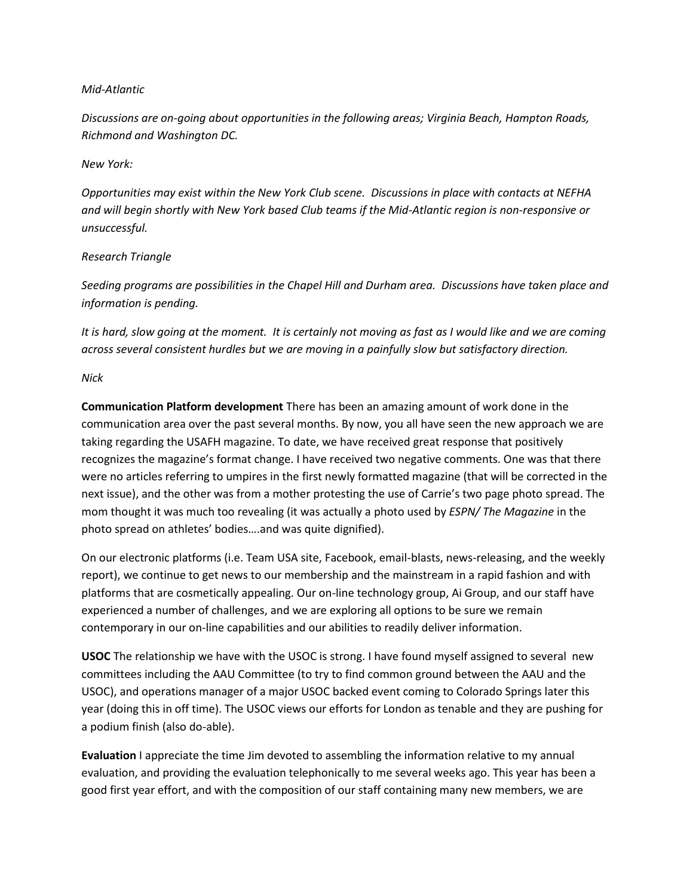### *Mid-Atlantic*

*Discussions are on-going about opportunities in the following areas; Virginia Beach, Hampton Roads, Richmond and Washington DC.*

### *New York:*

*Opportunities may exist within the New York Club scene. Discussions in place with contacts at NEFHA and will begin shortly with New York based Club teams if the Mid-Atlantic region is non-responsive or unsuccessful.*

## *Research Triangle*

*Seeding programs are possibilities in the Chapel Hill and Durham area. Discussions have taken place and information is pending.*

*It is hard, slow going at the moment. It is certainly not moving as fast as I would like and we are coming across several consistent hurdles but we are moving in a painfully slow but satisfactory direction.*

### *Nick*

**Communication Platform development** There has been an amazing amount of work done in the communication area over the past several months. By now, you all have seen the new approach we are taking regarding the USAFH magazine. To date, we have received great response that positively recognizes the magazine's format change. I have received two negative comments. One was that there were no articles referring to umpires in the first newly formatted magazine (that will be corrected in the next issue), and the other was from a mother protesting the use of Carrie's two page photo spread. The mom thought it was much too revealing (it was actually a photo used by *ESPN/ The Magazine* in the photo spread on athletes' bodies….and was quite dignified).

On our electronic platforms (i.e. Team USA site, Facebook, email-blasts, news-releasing, and the weekly report), we continue to get news to our membership and the mainstream in a rapid fashion and with platforms that are cosmetically appealing. Our on-line technology group, Ai Group, and our staff have experienced a number of challenges, and we are exploring all options to be sure we remain contemporary in our on-line capabilities and our abilities to readily deliver information.

**USOC** The relationship we have with the USOC is strong. I have found myself assigned to several new committees including the AAU Committee (to try to find common ground between the AAU and the USOC), and operations manager of a major USOC backed event coming to Colorado Springs later this year (doing this in off time). The USOC views our efforts for London as tenable and they are pushing for a podium finish (also do-able).

**Evaluation** I appreciate the time Jim devoted to assembling the information relative to my annual evaluation, and providing the evaluation telephonically to me several weeks ago. This year has been a good first year effort, and with the composition of our staff containing many new members, we are